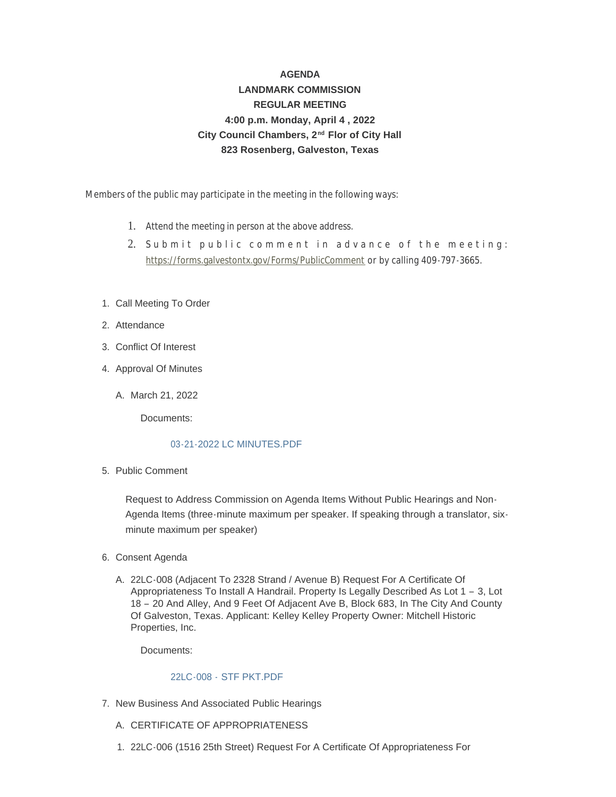# **AGENDA LANDMARK COMMISSION REGULAR MEETING 4:00 p.m. Monday, April 4 , 2022** City Council Chambers, 2<sup>nd</sup> Flor of City Hall **823 Rosenberg, Galveston, Texas**

Members of the public may participate in the meeting in the following ways:

- 1. Attend the meeting in person at the above address.
- 2. [Submit public comment in adva](https://forms.galvestontx.gov/Forms/PublicComment)nce of the meeting: https://forms.galvestontx.gov/Forms/PublicComment or by calling 409-797-3665.
- 1. Call Meeting To Order
- 2. Attendance
- Conflict Of Interest 3.
- 4. Approval Of Minutes
	- A. March 21, 2022

Documents:

#### [03-21-2022 LC MINUTES.PDF](https://www.galvestontx.gov/AgendaCenter/ViewFile/Item/13992?fileID=32580)

5. Public Comment

Request to Address Commission on Agenda Items Without Public Hearings and Non-Agenda Items (three-minute maximum per speaker. If speaking through a translator, sixminute maximum per speaker)

- 6. Consent Agenda
	- 22LC-008 (Adjacent To 2328 Strand / Avenue B) Request For A Certificate Of A. Appropriateness To Install A Handrail. Property Is Legally Described As Lot 1 – 3, Lot 18 – 20 And Alley, And 9 Feet Of Adjacent Ave B, Block 683, In The City And County Of Galveston, Texas. Applicant: Kelley Kelley Property Owner: Mitchell Historic Properties, Inc.

Documents:

## 22LC-008 - [STF PKT.PDF](https://www.galvestontx.gov/AgendaCenter/ViewFile/Item/13993?fileID=32581)

- 7. New Business And Associated Public Hearings
	- A. CERTIFICATE OF APPROPRIATENESS
	- 22LC-006 (1516 25th Street) Request For A Certificate Of Appropriateness For 1.